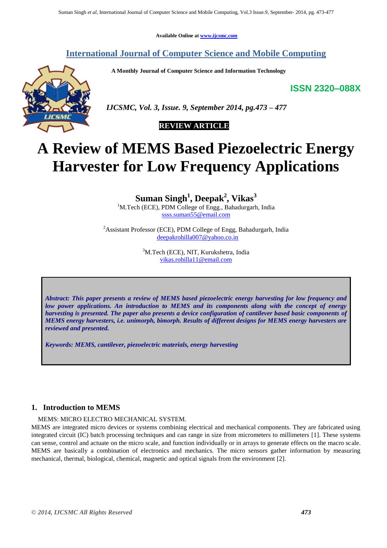**Available Online at www.ijcsmc.com**

# **International Journal of Computer Science and Mobile Computing**

 **A Monthly Journal of Computer Science and Information Technology**

**ISSN 2320–088X**



 *IJCSMC, Vol. 3, Issue. 9, September 2014, pg.473 – 477*

# **REVIEW ARTICLE**

# **A Review of MEMS Based Piezoelectric Energy Harvester for Low Frequency Applications**

**Suman Singh<sup>1</sup> , Deepak<sup>2</sup> , Vikas<sup>3</sup>**

<sup>1</sup>M.Tech (ECE), PDM College of Engg., Bahadurgarh, India ssss.suman55@email.com

<sup>2</sup> Assistant Professor (ECE), PDM College of Engg, Bahadurgarh, India deepakrohilla007@yahoo.co.in

> <sup>3</sup>M.Tech (ECE), NIT, Kurukshetra, India vikas.rohilla11@email.com

*Abstract: This paper presents a review of MEMS based piezoelectric energy harvesting for low frequency and low power applications. An introduction to MEMS and its components along with the concept of energy harvesting is presented. The paper also presents a device configuration of cantilever based basic components of MEMS energy harvesters, i.e. unimorph, bimorph. Results of different designs for MEMS energy harvesters are reviewed and presented.* 

*Keywords: MEMS, cantilever, piezoelectric materials, energy harvesting*

## **1. Introduction to MEMS**

MEMS: MICRO ELECTRO MECHANICAL SYSTEM.

MEMS are integrated micro devices or systems combining electrical and mechanical components. They are fabricated using integrated circuit (IC) batch processing techniques and can range in size from micrometers to millimeters [1]. These systems can sense, control and actuate on the micro scale, and function individually or in arrays to generate effects on the macro scale. MEMS are basically a combination of electronics and mechanics. The micro sensors gather information by measuring mechanical, thermal, biological, chemical, magnetic and optical signals from the environment [2].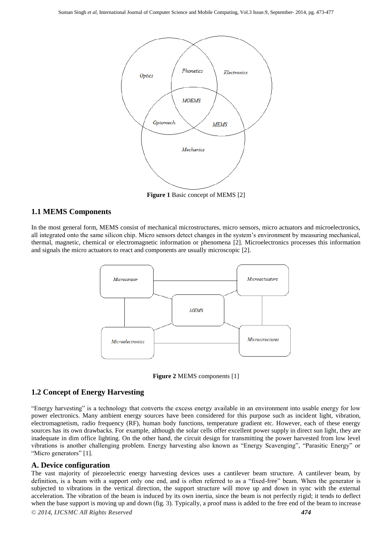

**Figure 1** Basic concept of MEMS [2]

## **1.1 MEMS Components**

In the most general form, MEMS consist of mechanical microstructures, micro sensors, micro actuators and microelectronics, all integrated onto the same silicon chip. Micro sensors detect changes in the system's environment by measuring mechanical, thermal, magnetic, chemical or electromagnetic information or phenomena [2]. Microelectronics processes this information and signals the micro actuators to react and components are usually microscopic [2].



**Figure 2** MEMS components [1]

# **1.2 Concept of Energy Harvesting**

"Energy harvesting" is a technology that converts the excess energy available in an environment into usable energy for low power electronics. Many ambient energy sources have been considered for this purpose such as incident light, vibration, electromagnetism, radio frequency (RF), human body functions, temperature gradient etc. However, each of these energy sources has its own drawbacks. For example, although the solar cells offer excellent power supply in direct sun light, they are inadequate in dim office lighting. On the other hand, the circuit design for transmitting the power harvested from low level vibrations is another challenging problem. Energy harvesting also known as "Energy Scavenging", "Parasitic Energy" or "Micro generators" [1].

## **A. Device configuration**

*© 2014, IJCSMC All Rights Reserved 474* The vast majority of piezoelectric energy harvesting devices uses a cantilever beam structure. A cantilever beam, by definition, is a beam with a support only one end, and is often referred to as a "fixed-free" beam. When the generator is subjected to vibrations in the vertical direction, the support structure will move up and down in sync with the external acceleration. The vibration of the beam is induced by its own inertia, since the beam is not perfectly rigid; it tends to deflect when the base support is moving up and down (fig. 3). Typically, a proof mass is added to the free end of the beam to increase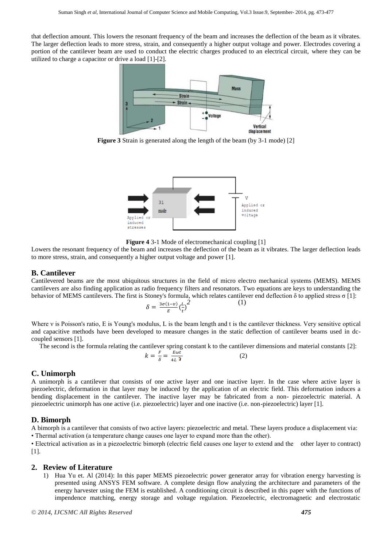that deflection amount. This lowers the resonant frequency of the beam and increases the deflection of the beam as it vibrates. The larger deflection leads to more stress, strain, and consequently a higher output voltage and power. Electrodes covering a portion of the cantilever beam are used to conduct the electric charges produced to an electrical circuit, where they can be utilized to charge a capacitor or drive a load [1]-[2].



**Figure 3** Strain is generated along the length of the beam (by 3-1 mode) [2]



**Figure 4** 3-1 Mode of electromechanical coupling [1]

Lowers the resonant frequency of the beam and increases the deflection of the beam as it vibrates. The larger deflection leads to more stress, strain, and consequently a higher output voltage and power [1].

#### **B. Cantilever**

Cantilevered beams are the most ubiquitous structures in the field of micro electro mechanical systems (MEMS). MEMS cantilevers are also finding application as radio frequency filters and resonators. Two equations are keys to understanding the behavior of MEMS cantilevers. The first is Stoney's formula, which relates cantilever end deflection δ to applied stress σ [1]: *2* (1)

$$
\delta = \frac{3\sigma(1-\nu)}{E} \left(\frac{L}{t}\right)^2
$$

Where ν is Poisson's ratio, E is Young's modulus, L is the beam length and t is the cantilever thickness. Very sensitive optical and capacitive methods have been developed to measure changes in the static deflection of cantilever beams used in dccoupled sensors [1].

The second is the formula relating the cantilever spring constant k to the cantilever dimensions and material constants [2]:

$$
k = \frac{F}{\delta} = \frac{E\omega t}{4L^3} \tag{2}
$$

## **C. Unimorph**

A unimorph is a cantilever that consists of one active layer and one inactive layer. In the case where active layer is piezoelectric, deformation in that layer may be induced by the application of an electric field. This deformation induces a bending displacement in the cantilever. The inactive layer may be fabricated from a non- piezoelectric material. A piezoelectric unimorph has one active (i.e. piezoelectric) layer and one inactive (i.e. non-piezoelectric) layer [1].

## **D. Bimorph**

A bimorph is a cantilever that consists of two active layers: piezoelectric and metal. These layers produce a displacement via: • Thermal activation (a temperature change causes one layer to expand more than the other).

• Electrical activation as in a piezoelectric bimorph (electric field causes one layer to extend and the other layer to contract) [1].

## **2. Review of Literature**

1) Hua Yu et. Al (2014): In this paper MEMS piezoelectric power generator array for vibration energy harvesting is presented using ANSYS FEM software. A complete design flow analyzing the architecture and parameters of the energy harvester using the FEM is established. A conditioning circuit is described in this paper with the functions of impendence matching, energy storage and voltage regulation. Piezoelectric, electromagnetic and electrostatic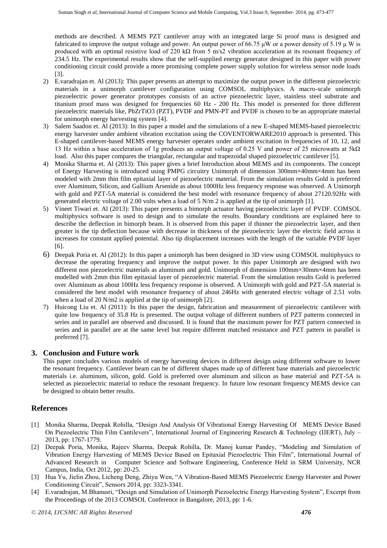methods are described. A MEMS PZT cantilever array with an integrated large Si proof mass is designed and fabricated to improve the output voltage and power. An output power of 66.75  $\mu$ W or a power density of 5.19  $\mu$  W is produced with an optimal resistive load of 220 kΩ from 5 m/s2 vibration acceleration at its resonant frequency of 234.5 Hz. The experimental results show that the self-supplied energy generator designed in this paper with power conditioning circuit could provide a more promising complete power supply solution for wireless sensor node loads [3].

- 2) E.varadrajan et. Al (2013): This paper presents an attempt to maximize the output power in the different piezoelectric materials in a unimorph cantilever configuration using COMSOL multiphysics. A macro-scale unimorph piezoelectric power generator prototypes consists of an active piezoelectric layer, stainless steel substrate and titanium proof mass was designed for frequencies 60 Hz - 200 Hz. This model is presented for three different piezoelectric materials like, PbZrTiO3 (PZT), PVDF and PMN-PT and PVDF is chosen to be an appropriate material for unimorph energy harvesting system [4].
- 3) Salem Saadon et. Al (2013): In this paper a model and the simulations of a new E-shaped MEMS-based piezoelectric energy harvester under ambient vibration excitation using the COVENTORWARE2010 approach is presented. This E-shaped cantilever-based MEMS energy harvester operates under ambient excitation in frequencies of 10, 12, and 13 Hz within a base acceleration of 1g produces an output voltage of 0.25 V and power of 25 microwatts at 5kΩ load. Also this paper compares the triangular, rectangular and trapezoidal shaped piezoelectric cantilever [5].
- 4) Monika Sharma et. Al (2013): This paper gives a brief Introduction about MEMS and its components. The concept of Energy Harvesting is introduced using PMPG circuitry Unimorph of dimension 300mm×40mm×4mm has been modeled with 2mm thin film epitaxial layer of piezoelectric material. From the simulation results Gold is preferred over Aluminum, Silicon, and Gallium Arsenide as about 1000Hz less frequency response was observed. A Unimorph with gold and PZT-5A material is considered the best model with resonance frequency of about 27120.92Hz with generated electric voltage of 2.00 volts when a load of 5 N/m 2 is applied at the tip of unimorph [1].
- 5) Vineet Tiwari et. Al (2013): This paper presents a bimorph actuator having piezoelectric layer of PVDF. COMSOL multiphysics software is used to design and to simulate the results. Boundary conditions are explained here to describe the deflection in bimorph beam. It is observed from this paper if thinner the piezoelectric layer, and then greater is the tip deflection because with decrease in thickness of the piezoelectric layer the electric field across it increases for constant applied potential. Also tip displacement increases with the length of the variable PVDF layer [6].
- 6) Deepak Poria et. Al (2012): In this paper a unimorph has been designed in 3D view using COMSOL multiphysics to decrease the operating frequency and improve the output power. In this paper Unimorph are designed with two different non piezoelectric materials as aluminum and gold. Unimorph of dimension 100mm×30mm×4mm has been modelled with 2mm thin film epitaxial layer of piezoelectric material. From the simulation results Gold is preferred over Aluminum as about 100Hz less frequency response is observed. A Unimorph with gold and PZT-5A material is considered the best model with resonance frequency of about 246Hz with generated electric voltage of 2.51 volts when a load of 20 N/m2 is applied at the tip of unimorph [2].
- 7) Huicong Liu et. Al (2011): In this paper the design, fabrication and measurement of piezoelectric cantilever with quite low frequency of 35.8 Hz is presented. The output voltage of different numbers of PZT patterns connected in series and in parallel are observed and discussed. It is found that the maximum power for PZT pattern connected in series and in parallel are at the same level but require different matched resistance and PZT pattern in parallel is preferred [7].

# **3. Conclusion and Future work**

This paper concludes various models of energy harvesting devices in different design using different software to lower the resonant frequency. Cantilever beam can be of different shapes made up of different base materials and piezoelectric materials i.e. aluminum, silicon, gold. Gold is preferred over aluminum and silicon as base material and PZT-5A is selected as piezoelectric material to reduce the resonant frequency. In future low resonant frequency MEMS device can be designed to obtain better results.

# **References**

- [1] Monika Sharma, Deepak Rohilla, "Design And Analysis Of Vibrational Energy Harvesting Of MEMS Device Based On Piezoelectric Thin Film Cantilevers", International Journal of Engineering Research & Technology (IJERT), July – 2013, pp: 1767-1779.
- [2] Deepak Poria, Monika, Rajeev Sharma, Deepak Rohilla, Dr. Manoj kumar Pandey, "Modeling and Simulation of Vibration Energy Harvesting of MEMS Device Based on Epitaxial Piezoelectric Thin Film", International Journal of Advanced Research in Computer Science and Software Engineering, Conference Held in SRM University, NCR Campus, India, Oct 2012, pp: 20-25.
- [3] Hua Yu, Jielin Zhou, Licheng Deng, Zhiyu Wen, "A Vibration-Based MEMS Piezoelectric Energy Harvester and Power Conditioning Circuit", Sensors 2014, pp: 3323-3341.
- [4] E.varadrajan, M.Bhanusri, "Design and Simulation of Unimorph Piezoelectric Energy Harvesting System", Excerpt from the Proceedings of the 2013 COMSOL Conference in Bangalore, 2013, pp: 1-6.